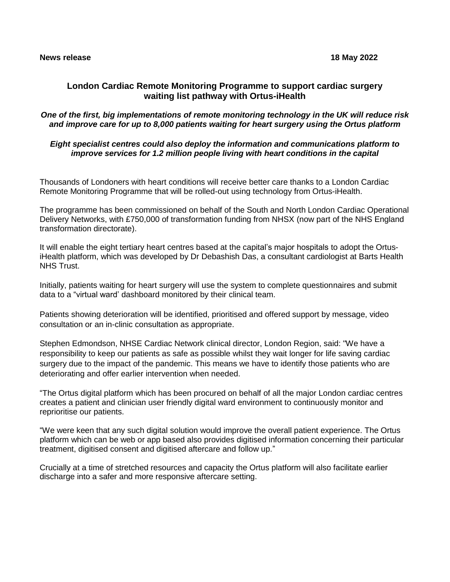# **London Cardiac Remote Monitoring Programme to support cardiac surgery waiting list pathway with Ortus-iHealth**

### *One of the first, big implementations of remote monitoring technology in the UK will reduce risk and improve care for up to 8,000 patients waiting for heart surgery using the Ortus platform*

## *Eight specialist centres could also deploy the information and communications platform to improve services for 1.2 million people living with heart conditions in the capital*

Thousands of Londoners with heart conditions will receive better care thanks to a London Cardiac Remote Monitoring Programme that will be rolled-out using technology from Ortus-iHealth.

The programme has been commissioned on behalf of the South and North London Cardiac Operational Delivery Networks, with £750,000 of transformation funding from NHSX (now part of the NHS England transformation directorate).

It will enable the eight tertiary heart centres based at the capital's major hospitals to adopt the OrtusiHealth platform, which was developed by Dr Debashish Das, a consultant cardiologist at Barts Health NHS Trust.

Initially, patients waiting for heart surgery will use the system to complete questionnaires and submit data to a "virtual ward' dashboard monitored by their clinical team.

Patients showing deterioration will be identified, prioritised and offered support by message, video consultation or an in-clinic consultation as appropriate.

Stephen Edmondson, NHSE Cardiac Network clinical director, London Region, said: "We have a responsibility to keep our patients as safe as possible whilst they wait longer for life saving cardiac surgery due to the impact of the pandemic. This means we have to identify those patients who are deteriorating and offer earlier intervention when needed.

"The Ortus digital platform which has been procured on behalf of all the major London cardiac centres creates a patient and clinician user friendly digital ward environment to continuously monitor and reprioritise our patients.

"We were keen that any such digital solution would improve the overall patient experience. The Ortus platform which can be web or app based also provides digitised information concerning their particular treatment, digitised consent and digitised aftercare and follow up."

Crucially at a time of stretched resources and capacity the Ortus platform will also facilitate earlier discharge into a safer and more responsive aftercare setting.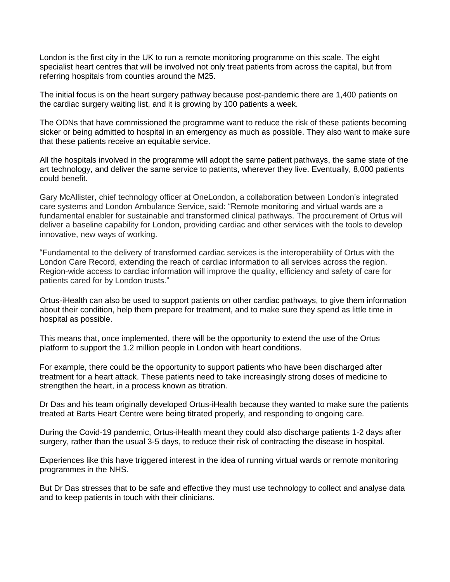London is the first city in the UK to run a remote monitoring programme on this scale. The eight specialist heart centres that will be involved not only treat patients from across the capital, but from referring hospitals from counties around the M25.

The initial focus is on the heart surgery pathway because post-pandemic there are 1,400 patients on the cardiac surgery waiting list, and it is growing by 100 patients a week.

The ODNs that have commissioned the programme want to reduce the risk of these patients becoming sicker or being admitted to hospital in an emergency as much as possible. They also want to make sure that these patients receive an equitable service.

All the hospitals involved in the programme will adopt the same patient pathways, the same state of the art technology, and deliver the same service to patients, wherever they live. Eventually, 8,000 patients could benefit.

Gary McAllister, chief technology officer at OneLondon, a collaboration between London's integrated care systems and London Ambulance Service, said: "Remote monitoring and virtual wards are a fundamental enabler for sustainable and transformed clinical pathways. The procurement of Ortus will deliver a baseline capability for London, providing cardiac and other services with the tools to develop innovative, new ways of working.

"Fundamental to the delivery of transformed cardiac services is the interoperability of Ortus with the London Care Record, extending the reach of cardiac information to all services across the region. Region-wide access to cardiac information will improve the quality, efficiency and safety of care for patients cared for by London trusts."

Ortus-iHealth can also be used to support patients on other cardiac pathways, to give them information about their condition, help them prepare for treatment, and to make sure they spend as little time in hospital as possible.

This means that, once implemented, there will be the opportunity to extend the use of the Ortus platform to support the 1.2 million people in London with heart conditions.

For example, there could be the opportunity to support patients who have been discharged after treatment for a heart attack. These patients need to take increasingly strong doses of medicine to strengthen the heart, in a process known as titration.

Dr Das and his team originally developed Ortus-iHealth because they wanted to make sure the patients treated at Barts Heart Centre were being titrated properly, and responding to ongoing care.

During the Covid-19 pandemic, Ortus-iHealth meant they could also discharge patients 1-2 days after surgery, rather than the usual 3-5 days, to reduce their risk of contracting the disease in hospital.

Experiences like this have triggered interest in the idea of running virtual wards or remote monitoring programmes in the NHS.

But Dr Das stresses that to be safe and effective they must use technology to collect and analyse data and to keep patients in touch with their clinicians.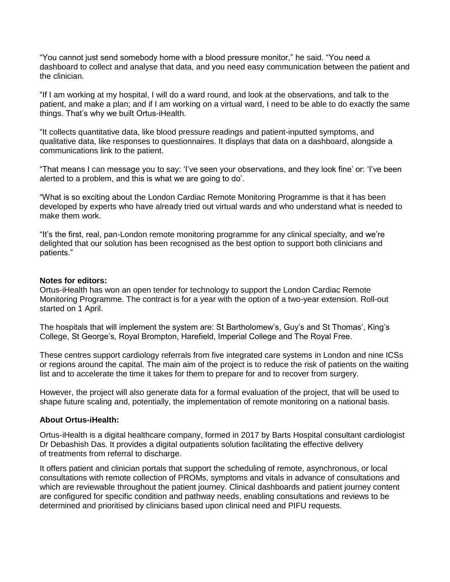"You cannot just send somebody home with a blood pressure monitor," he said. "You need a dashboard to collect and analyse that data, and you need easy communication between the patient and the clinician.

"If I am working at my hospital, I will do a ward round, and look at the observations, and talk to the patient, and make a plan; and if I am working on a virtual ward, I need to be able to do exactly the same things. That's why we built Ortus-iHealth.

"It collects quantitative data, like blood pressure readings and patient-inputted symptoms, and qualitative data, like responses to questionnaires. It displays that data on a dashboard, alongside a communications link to the patient.

"That means I can message you to say: 'I've seen your observations, and they look fine' or: 'I've been alerted to a problem, and this is what we are going to do'.

"What is so exciting about the London Cardiac Remote Monitoring Programme is that it has been developed by experts who have already tried out virtual wards and who understand what is needed to make them work.

"It's the first, real, pan-London remote monitoring programme for any clinical specialty, and we're delighted that our solution has been recognised as the best option to support both clinicians and patients."

#### **Notes for editors:**

Ortus-iHealth has won an open tender for technology to support the London Cardiac Remote Monitoring Programme. The contract is for a year with the option of a two-year extension. Roll-out started on 1 April.

The hospitals that will implement the system are: St Bartholomew's, Guy's and St Thomas', King's College, St George's, Royal Brompton, Harefield, Imperial College and The Royal Free.

These centres support cardiology referrals from five integrated care systems in London and nine ICSs or regions around the capital. The main aim of the project is to reduce the risk of patients on the waiting list and to accelerate the time it takes for them to prepare for and to recover from surgery.

However, the project will also generate data for a formal evaluation of the project, that will be used to shape future scaling and, potentially, the implementation of remote monitoring on a national basis.

#### **About Ortus-iHealth:**

Ortus-iHealth is a digital healthcare company, formed in 2017 by Barts Hospital consultant cardiologist Dr Debashish Das. It provides a digital outpatients solution facilitating the effective delivery of treatments from referral to discharge.

It offers patient and clinician portals that support the scheduling of remote, asynchronous, or local consultations with remote collection of PROMs, symptoms and vitals in advance of consultations and which are reviewable throughout the patient journey. Clinical dashboards and patient journey content are configured for specific condition and pathway needs, enabling consultations and reviews to be determined and prioritised by clinicians based upon clinical need and PIFU requests.